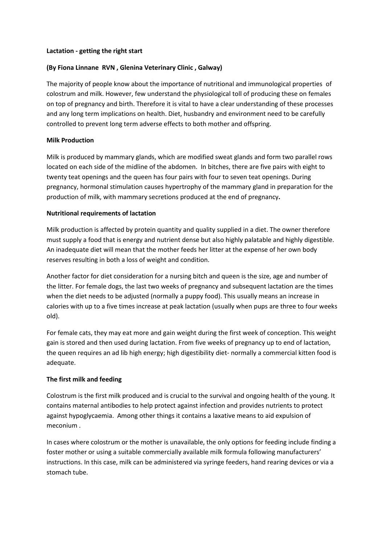#### **Lactation - getting the right start**

## **(By Fiona Linnane RVN , Glenina Veterinary Clinic , Galway)**

The majority of people know about the importance of nutritional and immunological properties of colostrum and milk. However, few understand the physiological toll of producing these on females on top of pregnancy and birth. Therefore it is vital to have a clear understanding of these processes and any long term implications on health. Diet, husbandry and environment need to be carefully controlled to prevent long term adverse effects to both mother and offspring.

### **Milk Production**

Milk is produced by mammary glands, which are modified sweat glands and form two parallel rows located on each side of the midline of the abdomen. In bitches, there are five pairs with eight to twenty teat openings and the queen has four pairs with four to seven teat openings. During pregnancy, hormonal stimulation causes hypertrophy of the mammary gland in preparation for the production of milk, with mammary secretions produced at the end of pregnancy**.** 

### **Nutritional requirements of lactation**

Milk production is affected by protein quantity and quality supplied in a diet. The owner therefore must supply a food that is energy and nutrient dense but also highly palatable and highly digestible. An inadequate diet will mean that the mother feeds her litter at the expense of her own body reserves resulting in both a loss of weight and condition.

Another factor for diet consideration for a nursing bitch and queen is the size, age and number of the litter. For female dogs, the last two weeks of pregnancy and subsequent lactation are the times when the diet needs to be adjusted (normally a puppy food). This usually means an increase in calories with up to a five times increase at peak lactation (usually when pups are three to four weeks old).

For female cats, they may eat more and gain weight during the first week of conception. This weight gain is stored and then used during lactation. From five weeks of pregnancy up to end of lactation, the queen requires an ad lib high energy; high digestibility diet- normally a commercial kitten food is adequate.

## **The first milk and feeding**

Colostrum is the first milk produced and is crucial to the survival and ongoing health of the young. It contains maternal antibodies to help protect against infection and provides nutrients to protect against hypoglycaemia. Among other things it contains a laxative means to aid expulsion of meconium .

In cases where colostrum or the mother is unavailable, the only options for feeding include finding a foster mother or using a suitable commercially available milk formula following manufacturers' instructions. In this case, milk can be administered via syringe feeders, hand rearing devices or via a stomach tube.